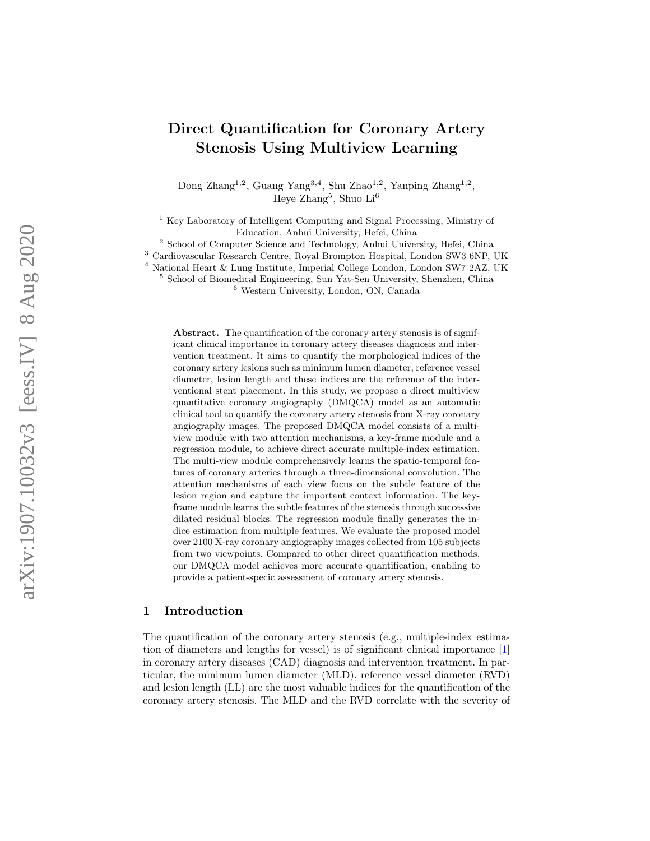# Direct Quantification for Coronary Artery Stenosis Using Multiview Learning

Dong Zhang<sup>1,2</sup>, Guang Yang<sup>3,4</sup>, Shu Zhao<sup>1,2</sup>, Yanping Zhang<sup>1,2</sup>, Heye Zhang 5 , Shuo Li 6

<sup>1</sup> Key Laboratory of Intelligent Computing and Signal Processing, Ministry of Education, Anhui University, Hefei, China

<sup>2</sup> School of Computer Science and Technology, Anhui University, Hefei, China

<sup>3</sup> Cardiovascular Research Centre, Royal Brompton Hospital, London SW3 6NP, UK

<sup>4</sup> National Heart & Lung Institute, Imperial College London, London SW7 2AZ, UK

<sup>5</sup> School of Biomedical Engineering, Sun Yat-Sen University, Shenzhen, China

<sup>6</sup> Western University, London, ON, Canada

Abstract. The quantification of the coronary artery stenosis is of significant clinical importance in coronary artery diseases diagnosis and intervention treatment. It aims to quantify the morphological indices of the coronary artery lesions such as minimum lumen diameter, reference vessel diameter, lesion length and these indices are the reference of the interventional stent placement. In this study, we propose a direct multiview quantitative coronary angiography (DMQCA) model as an automatic clinical tool to quantify the coronary artery stenosis from X-ray coronary angiography images. The proposed DMQCA model consists of a multiview module with two attention mechanisms, a key-frame module and a regression module, to achieve direct accurate multiple-index estimation. The multi-view module comprehensively learns the spatio-temporal features of coronary arteries through a three-dimensional convolution. The attention mechanisms of each view focus on the subtle feature of the lesion region and capture the important context information. The keyframe module learns the subtle features of the stenosis through successive dilated residual blocks. The regression module finally generates the indice estimation from multiple features. We evaluate the proposed model over 2100 X-ray coronary angiography images collected from 105 subjects from two viewpoints. Compared to other direct quantification methods, our DMQCA model achieves more accurate quantification, enabling to provide a patient-specic assessment of coronary artery stenosis.

## 1 Introduction

The quantification of the coronary artery stenosis (e.g., multiple-index estimation of diameters and lengths for vessel) is of significant clinical importance [\[1\]](#page-8-0) in coronary artery diseases (CAD) diagnosis and intervention treatment. In particular, the minimum lumen diameter (MLD), reference vessel diameter (RVD) and lesion length (LL) are the most valuable indices for the quantification of the coronary artery stenosis. The MLD and the RVD correlate with the severity of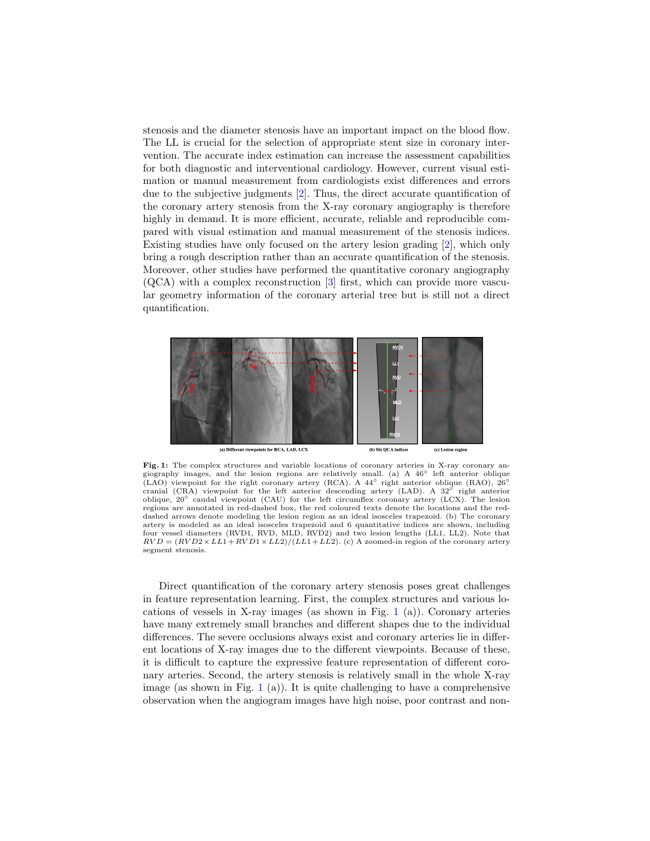stenosis and the diameter stenosis have an important impact on the blood flow. The LL is crucial for the selection of appropriate stent size in coronary intervention. The accurate index estimation can increase the assessment capabilities for both diagnostic and interventional cardiology. However, current visual estimation or manual measurement from cardiologists exist differences and errors due to the subjective judgments [\[2\]](#page-8-1). Thus, the direct accurate quantification of the coronary artery stenosis from the X-ray coronary angiography is therefore highly in demand. It is more efficient, accurate, reliable and reproducible compared with visual estimation and manual measurement of the stenosis indices. Existing studies have only focused on the artery lesion grading [\[2\]](#page-8-1), which only bring a rough description rather than an accurate quantification of the stenosis. Moreover, other studies have performed the quantitative coronary angiography (QCA) with a complex reconstruction [\[3\]](#page-8-2) first, which can provide more vascular geometry information of the coronary arterial tree but is still not a direct quantification.

<span id="page-1-0"></span>

Fig. 1: The complex structures and variable locations of coronary arteries in X-ray coronary angiography images, and the lesion regions are relatively small. (a) A 46◦ left anterior oblique (LAO) viewpoint for the right coronary artery (RCA). A 44° right anterior oblique (RAO),  $26°$ cranial (CRA) viewpoint for the left anterior descending artery (LAD). A 32◦ right anterior oblique, 20◦ caudal viewpoint (CAU) for the left circumflex coronary artery (LCX). The lesion regions are annotated in red-dashed box, the red coloured texts denote the locations and the reddashed arrows denote modeling the lesion region as an ideal isosceles trapezoid. (b) The coronary artery is modeled as an ideal isosceles trapezoid and 6 quantitative indices are shown, including four vessel diameters (RVD1, RVD, MLD, RVD2) and two lesion lengths (LL1, LL2). Note that  $RVD = (RVD2 \times LL1 + RVD1 \times LL2) / (LL1 + L22)$ . (c) A zoomed-in region of the coronary artery segment stenosis.

Direct quantification of the coronary artery stenosis poses great challenges in feature representation learning. First, the complex structures and various locations of vessels in X-ray images (as shown in Fig.  $1$  (a)). Coronary arteries have many extremely small branches and different shapes due to the individual differences. The severe occlusions always exist and coronary arteries lie in different locations of X-ray images due to the different viewpoints. Because of these, it is difficult to capture the expressive feature representation of different coronary arteries. Second, the artery stenosis is relatively small in the whole X-ray image (as shown in Fig.  $1(a)$  $1(a)$ ). It is quite challenging to have a comprehensive observation when the angiogram images have high noise, poor contrast and non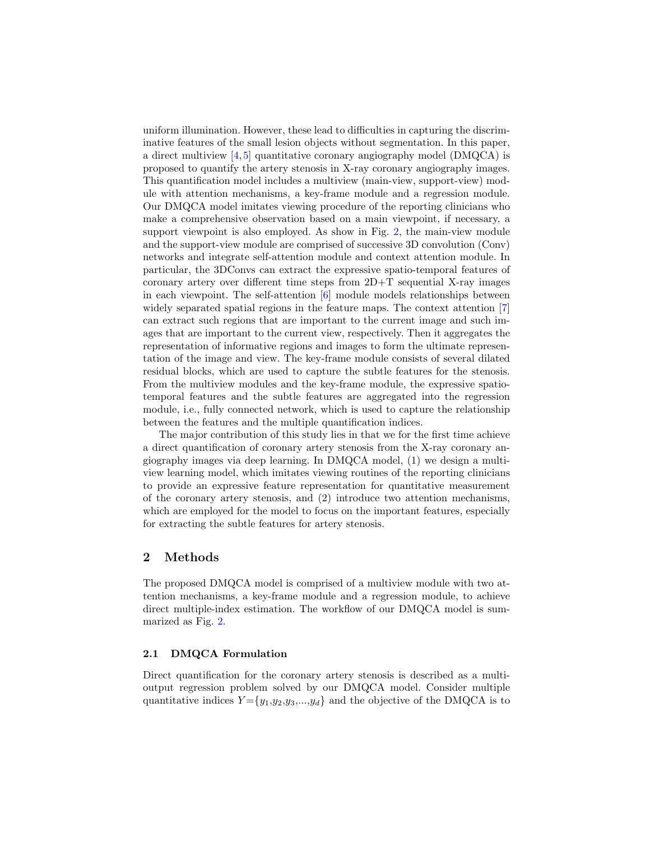uniform illumination. However, these lead to difficulties in capturing the discriminative features of the small lesion objects without segmentation. In this paper, a direct multiview  $[4, 5]$  $[4, 5]$  $[4, 5]$  quantitative coronary angiography model (DMQCA) is proposed to quantify the artery stenosis in X-ray coronary angiography images. This quantification model includes a multiview (main-view, support-view) module with attention mechanisms, a key-frame module and a regression module. Our DMQCA model imitates viewing procedure of the reporting clinicians who make a comprehensive observation based on a main viewpoint, if necessary, a support viewpoint is also employed. As show in Fig. [2,](#page-3-0) the main-view module and the support-view module are comprised of successive 3D convolution (Conv) networks and integrate self-attention module and context attention module. In particular, the 3DConvs can extract the expressive spatio-temporal features of coronary artery over different time steps from 2D+T sequential X-ray images in each viewpoint. The self-attention  $[6]$  module models relationships between widely separated spatial regions in the feature maps. The context attention [\[7\]](#page-8-6) can extract such regions that are important to the current image and such images that are important to the current view, respectively. Then it aggregates the representation of informative regions and images to form the ultimate representation of the image and view. The key-frame module consists of several dilated residual blocks, which are used to capture the subtle features for the stenosis. From the multiview modules and the key-frame module, the expressive spatiotemporal features and the subtle features are aggregated into the regression module, i.e., fully connected network, which is used to capture the relationship between the features and the multiple quantification indices.

The major contribution of this study lies in that we for the first time achieve a direct quantification of coronary artery stenosis from the X-ray coronary angiography images via deep learning. In DMQCA model, (1) we design a multiview learning model, which imitates viewing routines of the reporting clinicians to provide an expressive feature representation for quantitative measurement of the coronary artery stenosis, and (2) introduce two attention mechanisms, which are employed for the model to focus on the important features, especially for extracting the subtle features for artery stenosis.

## 2 Methods

The proposed DMQCA model is comprised of a multiview module with two attention mechanisms, a key-frame module and a regression module, to achieve direct multiple-index estimation. The workflow of our DMQCA model is summarized as Fig. [2.](#page-3-0)

#### 2.1 DMQCA Formulation

Direct quantification for the coronary artery stenosis is described as a multioutput regression problem solved by our DMQCA model. Consider multiple quantitative indices  $Y = \{y_1, y_2, y_3, \ldots, y_d\}$  and the objective of the DMQCA is to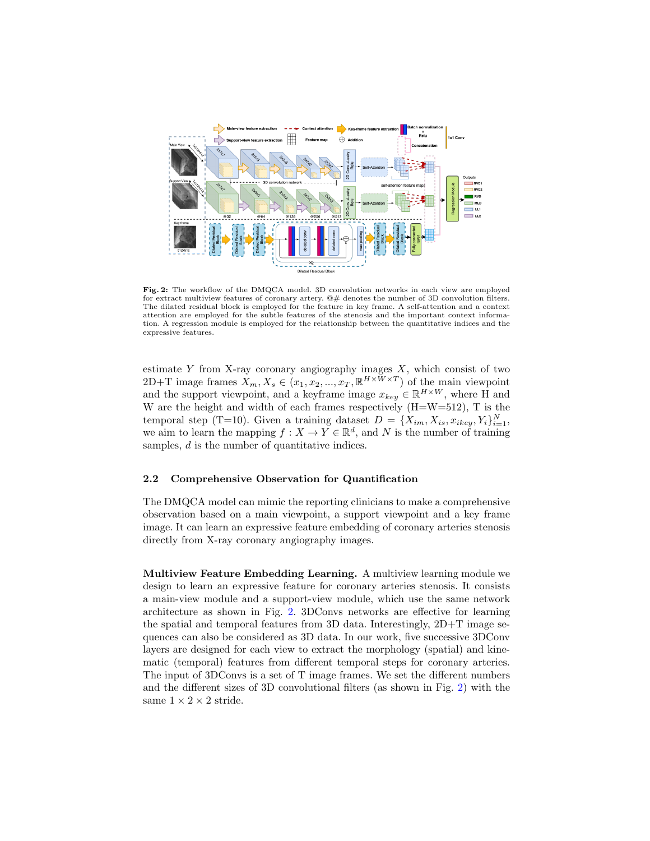<span id="page-3-0"></span>

Fig. 2: The workflow of the DMQCA model. 3D convolution networks in each view are employed for extract multiview features of coronary artery.  $@ \#$  denotes the number of 3D convolution filters. The dilated residual block is employed for the feature in key frame. A self-attention and a context attention are employed for the subtle features of the stenosis and the important context information. A regression module is employed for the relationship between the quantitative indices and the expressive features.

estimate Y from X-ray coronary angiography images  $X$ , which consist of two 2D+T image frames  $X_m, X_s \in (x_1, x_2, ..., x_T, \mathbb{R}^{H \times W \times T})$  of the main viewpoint and the support viewpoint, and a keyframe image  $x_{key} \in \mathbb{R}^{H \times W}$ , where H and W are the height and width of each frames respectively (H=W=512), T is the temporal step (T=10). Given a training dataset  $D = \{X_{im}, X_{is}, x_{ikey}, Y_i\}_{i=1}^N$ , we aim to learn the mapping  $f: X \to Y \in \mathbb{R}^d$ , and N is the number of training samples, d is the number of quantitative indices.

#### 2.2 Comprehensive Observation for Quantification

The DMQCA model can mimic the reporting clinicians to make a comprehensive observation based on a main viewpoint, a support viewpoint and a key frame image. It can learn an expressive feature embedding of coronary arteries stenosis directly from X-ray coronary angiography images.

Multiview Feature Embedding Learning. A multiview learning module we design to learn an expressive feature for coronary arteries stenosis. It consists a main-view module and a support-view module, which use the same network architecture as shown in Fig. [2.](#page-3-0) 3DConvs networks are effective for learning the spatial and temporal features from 3D data. Interestingly, 2D+T image sequences can also be considered as 3D data. In our work, five successive 3DConv layers are designed for each view to extract the morphology (spatial) and kinematic (temporal) features from different temporal steps for coronary arteries. The input of 3DConvs is a set of T image frames. We set the different numbers and the different sizes of 3D convolutional filters (as shown in Fig. [2\)](#page-3-0) with the same  $1 \times 2 \times 2$  stride.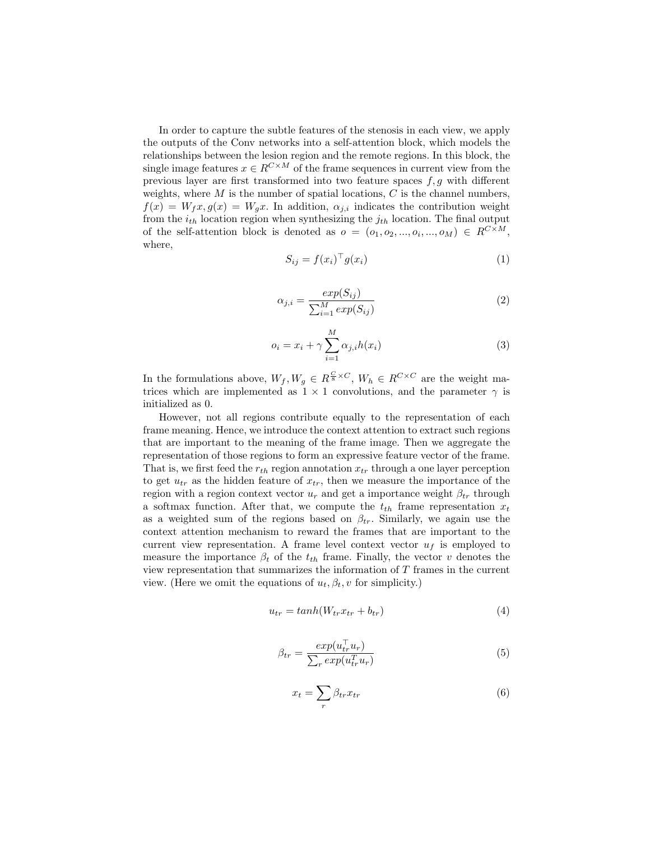In order to capture the subtle features of the stenosis in each view, we apply the outputs of the Conv networks into a self-attention block, which models the relationships between the lesion region and the remote regions. In this block, the single image features  $x \in R^{C \times M}$  of the frame sequences in current view from the previous layer are first transformed into two feature spaces  $f, g$  with different weights, where  $M$  is the number of spatial locations,  $C$  is the channel numbers,  $f(x) = W_f x, g(x) = W_q x$ . In addition,  $\alpha_{i,i}$  indicates the contribution weight from the  $i_{th}$  location region when synthesizing the  $j_{th}$  location. The final output of the self-attention block is denoted as  $o = (o_1, o_2, ..., o_i, ..., o_M) \in R^{C \times M}$ , where,

$$
S_{ij} = f(x_i)^\top g(x_i) \tag{1}
$$

$$
\alpha_{j,i} = \frac{exp(S_{ij})}{\sum_{i=1}^{M} exp(S_{ij})}
$$
\n(2)

$$
o_i = x_i + \gamma \sum_{i=1}^{M} \alpha_{j,i} h(x_i)
$$
\n(3)

In the formulations above,  $W_f, W_g \in R^{\frac{C}{8} \times C}, W_h \in R^{C \times C}$  are the weight matrices which are implemented as  $1 \times 1$  convolutions, and the parameter  $\gamma$  is initialized as 0.

However, not all regions contribute equally to the representation of each frame meaning. Hence, we introduce the context attention to extract such regions that are important to the meaning of the frame image. Then we aggregate the representation of those regions to form an expressive feature vector of the frame. That is, we first feed the  $r_{th}$  region annotation  $x_{tr}$  through a one layer perception to get  $u_{tr}$  as the hidden feature of  $x_{tr}$ , then we measure the importance of the region with a region context vector  $u_r$  and get a importance weight  $\beta_{tr}$  through a softmax function. After that, we compute the  $t_{th}$  frame representation  $x_t$ as a weighted sum of the regions based on  $\beta_{tr}$ . Similarly, we again use the context attention mechanism to reward the frames that are important to the current view representation. A frame level context vector  $u_f$  is employed to measure the importance  $\beta_t$  of the  $t_{th}$  frame. Finally, the vector v denotes the view representation that summarizes the information of T frames in the current view. (Here we omit the equations of  $u_t, \beta_t, v$  for simplicity.)

$$
u_{tr} = tanh(W_{tr}x_{tr} + b_{tr})
$$
\n(4)

$$
\beta_{tr} = \frac{exp(u_{tr}^{\top} u_r)}{\sum_r exp(u_{tr}^{\top} u_r)}\tag{5}
$$

$$
x_t = \sum_r \beta_{tr} x_{tr} \tag{6}
$$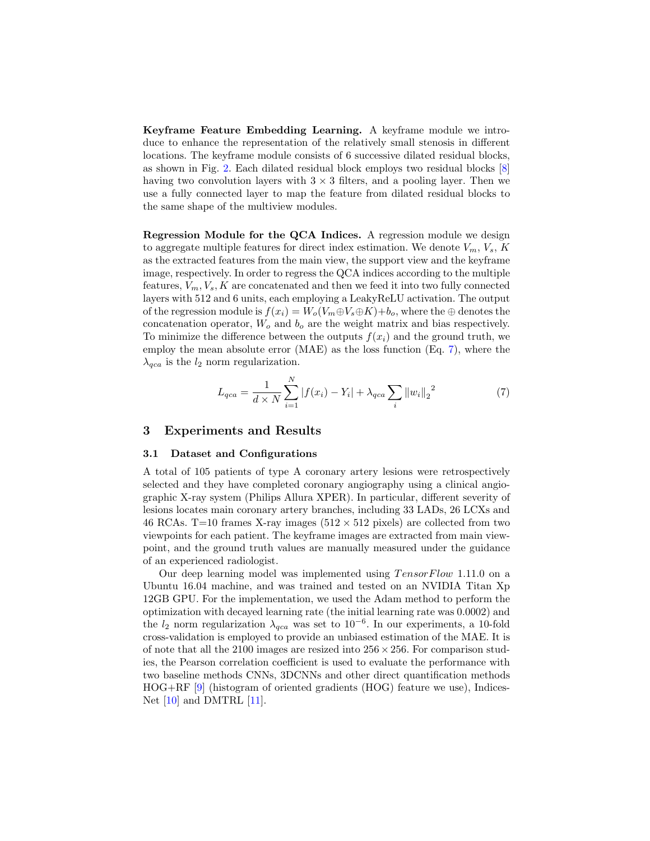Keyframe Feature Embedding Learning. A keyframe module we introduce to enhance the representation of the relatively small stenosis in different locations. The keyframe module consists of 6 successive dilated residual blocks, as shown in Fig. [2.](#page-3-0) Each dilated residual block employs two residual blocks [\[8\]](#page-8-7) having two convolution layers with  $3 \times 3$  filters, and a pooling layer. Then we use a fully connected layer to map the feature from dilated residual blocks to the same shape of the multiview modules.

Regression Module for the QCA Indices. A regression module we design to aggregate multiple features for direct index estimation. We denote  $V_m$ ,  $V_s$ , K as the extracted features from the main view, the support view and the keyframe image, respectively. In order to regress the QCA indices according to the multiple features,  $V_m$ ,  $V_s$ ,  $K$  are concatenated and then we feed it into two fully connected layers with 512 and 6 units, each employing a LeakyReLU activation. The output of the regression module is  $f(x_i) = W_o(V_m \oplus V_s \oplus K) + b_o$ , where the  $\oplus$  denotes the concatenation operator,  $W_o$  and  $b_o$  are the weight matrix and bias respectively. To minimize the difference between the outputs  $f(x_i)$  and the ground truth, we employ the mean absolute error (MAE) as the loss function (Eq. [7\)](#page-5-0), where the  $\lambda_{qca}$  is the  $l_2$  norm regularization.

<span id="page-5-0"></span>
$$
L_{qca} = \frac{1}{d \times N} \sum_{i=1}^{N} |f(x_i) - Y_i| + \lambda_{qca} \sum_{i} ||w_i||_2^2
$$
 (7)

#### 3 Experiments and Results

#### 3.1 Dataset and Configurations

A total of 105 patients of type A coronary artery lesions were retrospectively selected and they have completed coronary angiography using a clinical angiographic X-ray system (Philips Allura XPER). In particular, different severity of lesions locates main coronary artery branches, including 33 LADs, 26 LCXs and 46 RCAs. T=10 frames X-ray images ( $512 \times 512$  pixels) are collected from two viewpoints for each patient. The keyframe images are extracted from main viewpoint, and the ground truth values are manually measured under the guidance of an experienced radiologist.

Our deep learning model was implemented using  $TensorFlow 1.11.0$  on a Ubuntu 16.04 machine, and was trained and tested on an NVIDIA Titan Xp 12GB GPU. For the implementation, we used the Adam method to perform the optimization with decayed learning rate (the initial learning rate was 0.0002) and the  $l_2$  norm regularization  $\lambda_{qca}$  was set to  $10^{-6}$ . In our experiments, a 10-fold cross-validation is employed to provide an unbiased estimation of the MAE. It is of note that all the 2100 images are resized into  $256 \times 256$ . For comparison studies, the Pearson correlation coefficient is used to evaluate the performance with two baseline methods CNNs, 3DCNNs and other direct quantification methods HOG+RF [\[9\]](#page-8-8) (histogram of oriented gradients (HOG) feature we use), Indices-Net  $[10]$  and DMTRL  $[11]$ .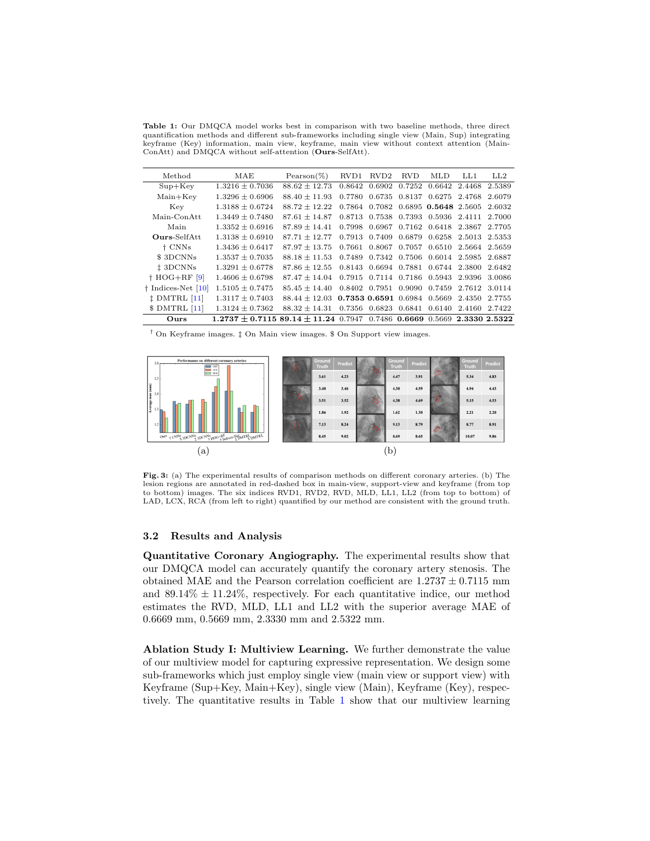Table 1: Our DMQCA model works best in comparison with two baseline methods, three direct quantification methods and different sub-frameworks including single view (Main, Sup) integrating keyframe (Key) information, main view, keyframe, main view without context attention (Main-ConAtt) and DMQCA without self-attention (Ours-SelfAtt).

<span id="page-6-0"></span>

| Method                     | MAE                                                                | $Pearson(\%)$     | RVD1   | RVD <sub>2</sub> | <b>RVD</b>    | MLD.                                      | LL1.          | LL2    |
|----------------------------|--------------------------------------------------------------------|-------------------|--------|------------------|---------------|-------------------------------------------|---------------|--------|
| $Sup+Kev$                  | $1.3216 \pm 0.7036$                                                | $88.62 + 12.73$   | 0.8642 | 0.6902           | 0.7252        |                                           | 0.6642 2.4468 | 2.5389 |
| $Main+Key$                 | $1.3296 \pm 0.6906$                                                | $88.40 + 11.93$   |        |                  |               | 0.7780 0.6735 0.8137 0.6275 2.4768        |               | 2.6079 |
| Key                        | $1.3188 \pm 0.6724$                                                | $88.72 + 12.22$   | 0.7864 |                  |               | 0.7082 0.6895 0.5648 2.5605               |               | 2.6032 |
| Main-Con Att               | $1.3449 \pm 0.7480$                                                | $87.61 + 14.87$   |        |                  |               | 0.8713 0.7538 0.7393 0.5936 2.4111        |               | 2.7000 |
| Main                       | $1.3352 + 0.6916$                                                  | $87.89 + 14.41$   | 0.7998 | 0.6967           |               | 0.7162 0.6418 2.3867                      |               | 2.7705 |
| <b>Ours-SelfAtt</b>        | $1.3138 + 0.6910$                                                  | $87.71 + 12.77$   |        |                  |               | 0.7913 0.7409 0.6879 0.6258 2.5013 2.5353 |               |        |
| † CNNs                     | $1.3436 \pm 0.6417$                                                | $87.97 + 13.75$   | 0.7661 |                  | 0.8067 0.7057 | 0.6510 2.5664                             |               | 2.5659 |
| \$3DCNNs                   | $1.3537 + 0.7035$                                                  | $88.18 + 11.53$   |        |                  |               | 0.7489 0.7342 0.7506 0.6014 2.5985        |               | 2.6887 |
| <sup>1</sup> 3DCNNs        | $1.3291 \pm 0.6778$                                                | $87.86 + 12.55$   |        |                  |               | 0.8143 0.6694 0.7881 0.6744 2.3800 2.6482 |               |        |
| $\dagger$ HOG+RF [9]       | $1.4606 \pm 0.6798$                                                | $87.47 \pm 14.04$ |        |                  |               | 0.7915 0.7114 0.7186 0.5943 2.9396        |               | 3.0086 |
| $\dagger$ Indices-Net [10] | $1.5105 \pm 0.7475$                                                | $85.45 + 14.40$   |        |                  |               | 0.8402 0.7951 0.9090 0.7459 2.7612 3.0114 |               |        |
| $\ddagger$ DMTRL [11]      | $1.3117 \pm 0.7403$                                                | $88.44 + 12.03$   |        |                  |               | 0.7353 0.6591 0.6984 0.5669               | 2.4350        | 2.7755 |
| SDMTRL [11]                | $1.3124 \pm 0.7362$                                                | $88.32 + 14.31$   |        |                  |               | 0.7356 0.6823 0.6841 0.6140 2.4160        |               | 2.7422 |
| Ours                       | $1.2737 + 0.711589.14 + 11.240.79470.74860.66690.56692.33302.5322$ |                   |        |                  |               |                                           |               |        |

† On Keyframe images. ‡ On Main view images. \$ On Support view images.

<span id="page-6-1"></span>

Fig. 3: (a) The experimental results of comparison methods on different coronary arteries. (b) The lesion regions are annotated in red-dashed box in main-view, support-view and keyframe (from top to bottom) images. The six indices RVD1, RVD2, RVD, MLD, LL1, LL2 (from top to bottom) of LAD, LCX, RCA (from left to right) quantified by our method are consistent with the ground truth.

#### 3.2 Results and Analysis

Quantitative Coronary Angiography. The experimental results show that our DMQCA model can accurately quantify the coronary artery stenosis. The obtained MAE and the Pearson correlation coefficient are  $1.2737 \pm 0.7115$  mm and  $89.14\% \pm 11.24\%$ , respectively. For each quantitative indice, our method estimates the RVD, MLD, LL1 and LL2 with the superior average MAE of 0.6669 mm, 0.5669 mm, 2.3330 mm and 2.5322 mm.

Ablation Study I: Multiview Learning. We further demonstrate the value of our multiview model for capturing expressive representation. We design some sub-frameworks which just employ single view (main view or support view) with Keyframe (Sup+Key, Main+Key), single view (Main), Keyframe (Key), respectively. The quantitative results in Table [1](#page-6-0) show that our multiview learning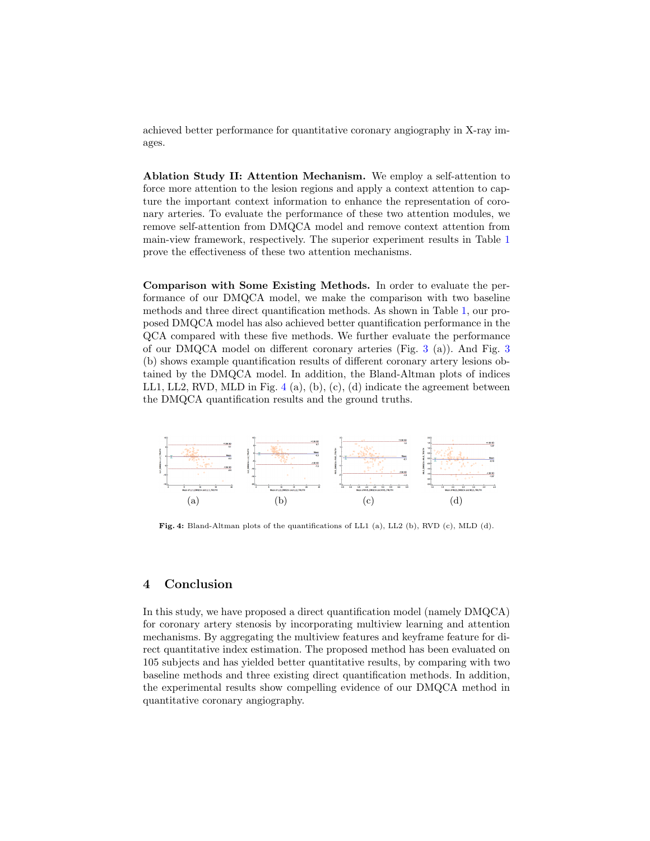achieved better performance for quantitative coronary angiography in X-ray images.

Ablation Study II: Attention Mechanism. We employ a self-attention to force more attention to the lesion regions and apply a context attention to capture the important context information to enhance the representation of coronary arteries. To evaluate the performance of these two attention modules, we remove self-attention from DMQCA model and remove context attention from main-view framework, respectively. The superior experiment results in Table [1](#page-6-0) prove the effectiveness of these two attention mechanisms.

Comparison with Some Existing Methods. In order to evaluate the performance of our DMQCA model, we make the comparison with two baseline methods and three direct quantification methods. As shown in Table [1,](#page-6-0) our proposed DMQCA model has also achieved better quantification performance in the QCA compared with these five methods. We further evaluate the performance of our DMQCA model on different coronary arteries (Fig. [3](#page-6-1) (a)). And Fig. [3](#page-6-1) (b) shows example quantification results of different coronary artery lesions obtained by the DMQCA model. In addition, the Bland-Altman plots of indices LL1, LL2, RVD, MLD in Fig.  $4(a)$  $4(a)$ ,  $(b)$ ,  $(c)$ ,  $(d)$  indicate the agreement between the DMQCA quantification results and the ground truths.

<span id="page-7-0"></span>

Fig. 4: Bland-Altman plots of the quantifications of LL1 (a), LL2 (b), RVD (c), MLD (d).

# 4 Conclusion

In this study, we have proposed a direct quantification model (namely DMQCA) for coronary artery stenosis by incorporating multiview learning and attention mechanisms. By aggregating the multiview features and keyframe feature for direct quantitative index estimation. The proposed method has been evaluated on 105 subjects and has yielded better quantitative results, by comparing with two baseline methods and three existing direct quantification methods. In addition, the experimental results show compelling evidence of our DMQCA method in quantitative coronary angiography.